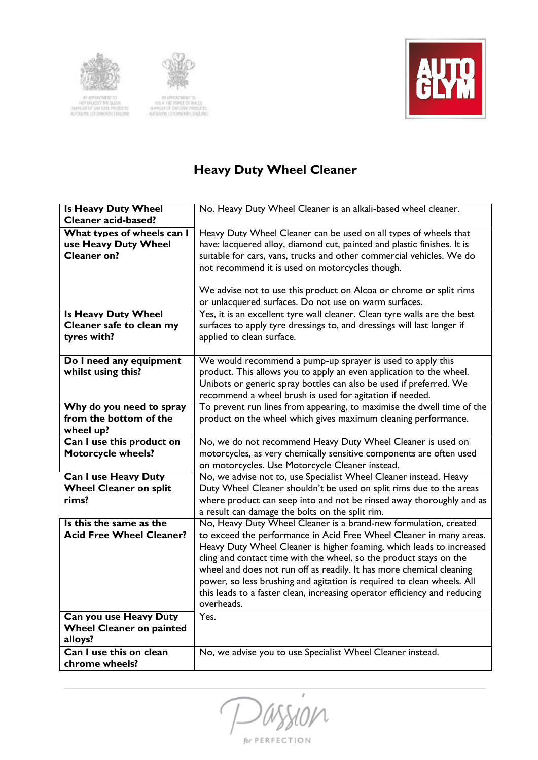



IN APPOINTMENT TO:<br>HER MAJESTY THE BUEST<br>JULIPALER OF ONE ANGELESS<br>AUTOLOM, LETO/HISOTH, CHOUMO

IN APPARTMENT TO<br>REALTHE PRINCE OF BALES<br>SUPPLIER OF CAN ONE PRODUCTS<br>AUTORIAN LETOWORDS ENGLAND



## **Heavy Duty Wheel Cleaner**

| <b>Is Heavy Duty Wheel</b>                | No. Heavy Duty Wheel Cleaner is an alkali-based wheel cleaner.            |
|-------------------------------------------|---------------------------------------------------------------------------|
| <b>Cleaner acid-based?</b>                |                                                                           |
| What types of wheels can I                | Heavy Duty Wheel Cleaner can be used on all types of wheels that          |
| use Heavy Duty Wheel                      | have: lacquered alloy, diamond cut, painted and plastic finishes. It is   |
| Cleaner on?                               | suitable for cars, vans, trucks and other commercial vehicles. We do      |
|                                           | not recommend it is used on motorcycles though.                           |
|                                           |                                                                           |
|                                           | We advise not to use this product on Alcoa or chrome or split rims        |
|                                           | or unlacquered surfaces. Do not use on warm surfaces.                     |
| <b>Is Heavy Duty Wheel</b>                | Yes, it is an excellent tyre wall cleaner. Clean tyre walls are the best  |
| Cleaner safe to clean my                  | surfaces to apply tyre dressings to, and dressings will last longer if    |
| tyres with?                               | applied to clean surface.                                                 |
|                                           |                                                                           |
| Do I need any equipment                   | We would recommend a pump-up sprayer is used to apply this                |
| whilst using this?                        | product. This allows you to apply an even application to the wheel.       |
|                                           | Unibots or generic spray bottles can also be used if preferred. We        |
|                                           | recommend a wheel brush is used for agitation if needed.                  |
| Why do you need to spray                  | To prevent run lines from appearing, to maximise the dwell time of the    |
| from the bottom of the                    | product on the wheel which gives maximum cleaning performance.            |
| wheel up?                                 |                                                                           |
|                                           |                                                                           |
| Can I use this product on                 | No, we do not recommend Heavy Duty Wheel Cleaner is used on               |
| <b>Motorcycle wheels?</b>                 | motorcycles, as very chemically sensitive components are often used       |
|                                           | on motorcycles. Use Motorcycle Cleaner instead.                           |
| <b>Can I use Heavy Duty</b>               | No, we advise not to, use Specialist Wheel Cleaner instead. Heavy         |
| <b>Wheel Cleaner on split</b>             | Duty Wheel Cleaner shouldn't be used on split rims due to the areas       |
| rims?                                     | where product can seep into and not be rinsed away thoroughly and as      |
|                                           | a result can damage the bolts on the split rim.                           |
| Is this the same as the                   | No, Heavy Duty Wheel Cleaner is a brand-new formulation, created          |
| <b>Acid Free Wheel Cleaner?</b>           | to exceed the performance in Acid Free Wheel Cleaner in many areas.       |
|                                           | Heavy Duty Wheel Cleaner is higher foaming, which leads to increased      |
|                                           | cling and contact time with the wheel, so the product stays on the        |
|                                           | wheel and does not run off as readily. It has more chemical cleaning      |
|                                           | power, so less brushing and agitation is required to clean wheels. All    |
|                                           | this leads to a faster clean, increasing operator efficiency and reducing |
|                                           | overheads.                                                                |
| <b>Can you use Heavy Duty</b>             | Yes.                                                                      |
| <b>Wheel Cleaner on painted</b>           |                                                                           |
| alloys?                                   |                                                                           |
| Can I use this on clean<br>chrome wheels? | No, we advise you to use Specialist Wheel Cleaner instead.                |

 $\boldsymbol{r}$  $\mathcal{U}$ D

for PERFECTION